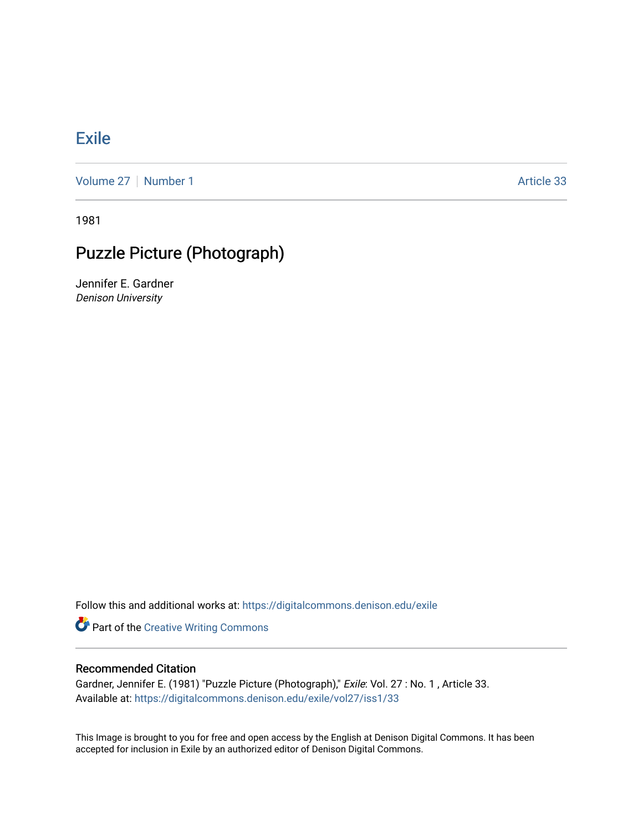## [Exile](https://digitalcommons.denison.edu/exile)

[Volume 27](https://digitalcommons.denison.edu/exile/vol27) | [Number 1](https://digitalcommons.denison.edu/exile/vol27/iss1) Article 33

1981

## Puzzle Picture (Photograph)

Jennifer E. Gardner Denison University

Follow this and additional works at: [https://digitalcommons.denison.edu/exile](https://digitalcommons.denison.edu/exile?utm_source=digitalcommons.denison.edu%2Fexile%2Fvol27%2Fiss1%2F33&utm_medium=PDF&utm_campaign=PDFCoverPages) 

**Part of the Creative Writing Commons** 

## Recommended Citation

Gardner, Jennifer E. (1981) "Puzzle Picture (Photograph)," Exile: Vol. 27 : No. 1 , Article 33. Available at: [https://digitalcommons.denison.edu/exile/vol27/iss1/33](https://digitalcommons.denison.edu/exile/vol27/iss1/33?utm_source=digitalcommons.denison.edu%2Fexile%2Fvol27%2Fiss1%2F33&utm_medium=PDF&utm_campaign=PDFCoverPages)

This Image is brought to you for free and open access by the English at Denison Digital Commons. It has been accepted for inclusion in Exile by an authorized editor of Denison Digital Commons.